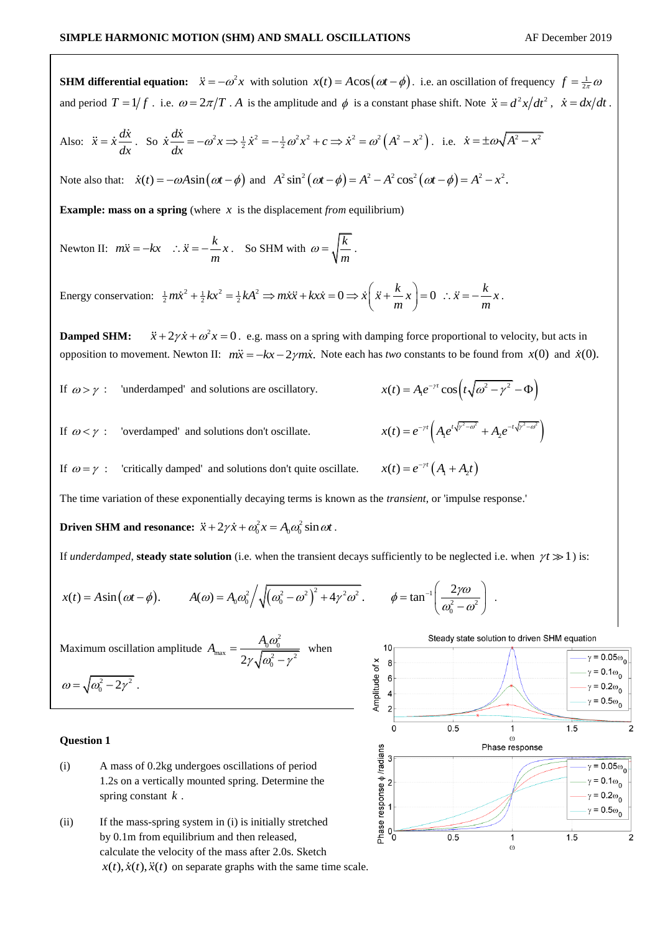**SHM differential equation:**  $\ddot{x} = -\omega^2 x$  with solution  $x(t) = A\cos(\omega t - \phi)$ . i.e. an oscillation of frequency  $f = \frac{1}{2\pi}\omega$ and period  $T = 1/f$ . i.e.  $\omega = 2\pi/T$ . A is the amplitude and  $\phi$  is a constant phase shift. Note  $\ddot{x} = d^2x/dt^2$ ,  $\dot{x} = dx/dt$ .  $= \dot{x} \frac{dx}{dx}$ . So  $\dot{x} \frac{dx}{dx} = -\omega^2 x \Rightarrow \frac{1}{2} \dot{x}^2 = -\frac{1}{2} \omega^2 x^2 + c \Rightarrow \dot{x}^2 = \omega^2 (A^2 - x^2)$ . i.e.  $\dot{x} = \pm \omega \sqrt{A^2 - x^2}$ Also:  $\ddot{x} = \dot{x} \frac{d\dot{x}}{dt}$ *dx* Note also that:  $\dot{x}(t) = -\omega A \sin(\omega t - \phi)$  and  $A^2 \sin^2(\omega t - \phi) = A^2 - A^2 \cos^2(\omega t - \phi) = A^2 - x^2$ . **Example: mass on a spring** (where  $x$  is the displacement *from* equilibrium) Newton II:  $m\ddot{x} = -kx$  :  $\ddot{x} = -\frac{k}{m}x$ . So SHM with  $\omega = \sqrt{\frac{k}{m}}$  $\omega = \sqrt{\frac{v}{c}}$ . Energy conservation:  $\frac{1}{2}m\dot{x}^2 + \frac{1}{2}kx^2 = \frac{1}{2}kA^2 \implies m\ddot{x}\ddot{x} + kx\dot{x} = 0 \implies \dot{x}\left(\ddot{x} + \frac{k}{m}x\right) = 0 \therefore \ddot{x} = -\frac{k}{m}x$  $= -\frac{1}{m}x$ . So SHM with  $\omega = \sqrt{\frac{m}{m}}$ .<br>  $+\frac{1}{2}kx^2 = \frac{1}{2}kA^2 \implies m\ddot{x}\ddot{x} + kx\dot{x} = 0 \implies \dot{x}\left(\ddot{x} + \frac{k}{m}x\right) = 0$   $\therefore \ddot{x} = -\frac{k}{m}x$ . *m*  $\left(\frac{k}{m}x\right) = 0 \therefore \ddot{x} = -\frac{k}{m}$ .  $\ddot{x} + 2\gamma \dot{x} + \omega^2 x = 0$ . e.g. mass on a spring with damping force proportional to velocity, but acts in **Damped SHM:**  opposition to movement. Newton II:  $m\ddot{x} = -kx - 2\gamma m\dot{x}$ . Note each has *two* constants to be found from  $x(0)$  and  $\dot{x}(0)$ .  $x(t) = A_1 e^{-\gamma t} \cos\left(t\sqrt{\omega^2 - \gamma^2} - \Phi\right)$  $= A_1 e^{-\gamma t} \cos(t \sqrt{\omega^2 - \gamma^2} - \Phi)$ If  $\omega > \gamma$ : 'underdamped' and solutions are oscillatory.  $x(t) = e^{-\gamma t} \left( A_1 e^{t \sqrt{\gamma^2 - \omega^2}} + A_2 e^{-t \sqrt{\gamma^2 - \omega^2}} \right)$ If  $\omega < \gamma$ : 'overdamped' and solutions don't oscillate.  $\left( A_1 e^{i \sqrt{y}} + A_2 e^{-i \sqrt{y}} \right)$  $x(t) = e^{-\gamma t} \left( A_1 + A_2 t \right)$ If  $\omega = \gamma$ : 'critically damped' and solutions don't quite oscillate. The time variation of these exponentially decaying terms is known as the *transient*, or 'impulse response.' **Driven SHM and resonance:**  $\ddot{x} + 2\gamma \dot{x} + \omega_0^2 x = A_0 \omega_0^2 \sin \omega t$ . derdamped, **steady state solution** (i.e. when the transient decays sufficiently to be neglected i.e. when  $\gamma i$ <br>= Asin( $\omega t - \phi$ ).  $A(\omega) = A_0 \omega_0^2 \left/ \sqrt{(\omega_0^2 - \omega^2)^2 + 4\gamma^2 \omega^2} \right.$   $\phi = \tan^{-1} \left( \frac{2\gamma \omega}{\omega_0^2 - \omega^2} \right)$ . *x*(*t*) = Asin( $\omega t - \phi$ ).  $A(\omega) = A_0 \omega_0^2 / \sqrt{(\omega_0^2 - \omega^2)^2 + 4\gamma^2 \omega^2}$ .  $\phi = \tan^{-1} \left( \frac{2\gamma \omega}{\omega_0^2 - \omega^2} \right)$ . If *underdamped*, **steady state solution** (i.e. when the transient decays sufficiently to be neglected i.e. when  $\gamma t \gg 1$ ) is:  $\left(\frac{2\gamma\omega}{\omega_0^2-\omega^2}\right)$ .  $\int_{0}^{\infty} \sqrt{(\omega_0^2 - \omega^2)^2 + 4\gamma^2 \omega^2}$ ,  $\phi = \tan^{-1} \left( \frac{2\gamma \omega}{\omega_0^2 - \omega^2} \right)$  $(\omega t - \phi)$ .  $A(\omega) = A_0 \omega_0^2 / \sqrt{(\omega_0^2 - \omega^2)^2}$  .  $\epsilon$ Steady state solution to driven SHM equation  $\omega_0^2$  $A_{\text{max}} = \frac{A_0 \omega_0}{\sqrt{2\pi}}$  $=$  $10$ Maximum oscillation amplitude when  $\int_{\text{max}}^{\text{max}}$  -  $\int$   $\sqrt{\omega_0^2 - \gamma^2}$  $\gamma = 0.05\omega_0$  $2\gamma\sqrt{\omega_0^2-\gamma^2}$  $\overline{a}$ 8 Amplitude of x  $\gamma = 0.1\omega_0$  $6\phantom{a}$  $\omega = \sqrt{\omega_0^2 - 2\gamma^2}$ .  $\gamma = 0.2\omega_0$  $\overline{4}$  $\gamma = 0.5\omega_{0}$  $\overline{c}$  $\overline{0}$  $0.5$ 1  $1.5$  $\overline{2}$  $\omega$ **Question 1** Phase response Phase response  $\phi$  /radians  $\gamma = 0.05\omega_c$ (i) A mass of 0.2kg undergoes oscillations of period  $\gamma = 0.1\omega_0$ 1.2s on a vertically mounted spring. Determine the spring constant *k* .  $\gamma = 0.2\omega_{\alpha}$  $\gamma = 0.5\omega_0$ 

 $0.5$ 

 $\mathbf{1}$ 

 $\omega$ 

 $1.5$ 

 $\mathfrak{p}$ 

(ii) If the mass-spring system in (i) is initially stretched by 0.1m from equilibrium and then released, calculate the velocity of the mass after 2.0s. Sketch  $x(t)$ ,  $\dot{x}(t)$ ,  $\ddot{x}(t)$  on separate graphs with the same time scale.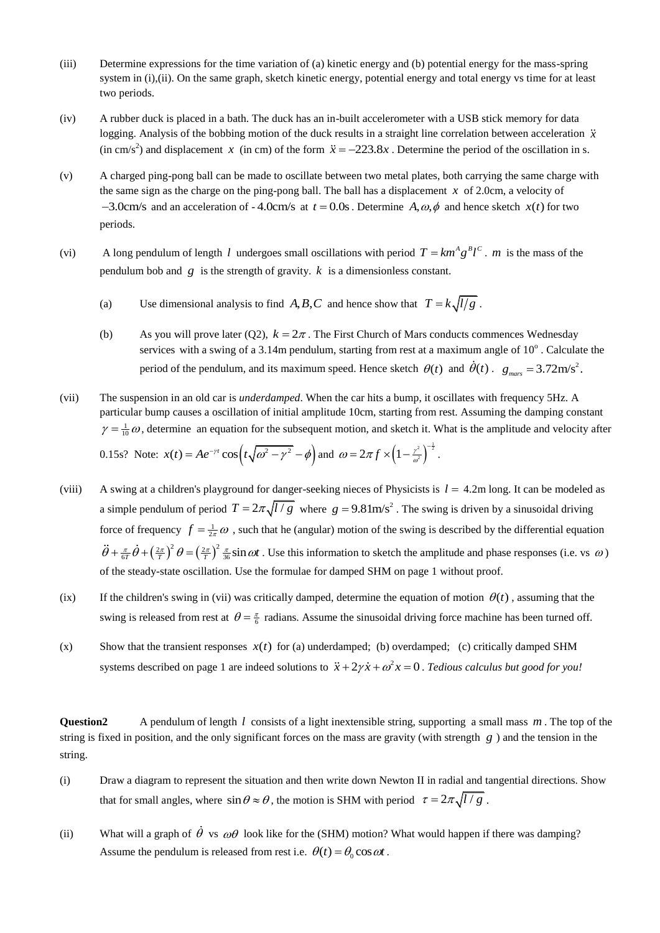- (iii) Determine expressions for the time variation of (a) kinetic energy and (b) potential energy for the mass-spring system in (i),(ii). On the same graph, sketch kinetic energy, potential energy and total energy vs time for at least two periods.
- (iv) A rubber duck is placed in a bath. The duck has an in-built accelerometer with a USB stick memory for data logging. Analysis of the bobbing motion of the duck results in a straight line correlation between acceleration  $\ddot{x}$ (in cm/s<sup>2</sup>) and displacement x (in cm) of the form  $\ddot{x} = -223.8x$ . Determine the period of the oscillation in s.
- (v) A charged ping-pong ball can be made to oscillate between two metal plates, both carrying the same charge with the same sign as the charge on the ping-pong ball. The ball has a displacement  $x$  of 2.0cm, a velocity of  $-3.0$ cm/s and an acceleration of  $-4.0$ cm/s at  $t = 0.0$ s. Determine  $A, \omega, \phi$  and hence sketch  $x(t)$  for two periods.
- (vi) A long pendulum of length *l* undergoes small oscillations with period  $T = km^A g^B l^C$ . *m* is the mass of the pendulum bob and  $g$  is the strength of gravity.  $k$  is a dimensionless constant.
	- (a) Use dimensional analysis to find A, B, C and hence show that  $T = k \sqrt{l/g}$ .
	- (b) As you will prove later (Q2),  $k = 2\pi$ . The First Church of Mars conducts commences Wednesday services with a swing of a 3.14m pendulum, starting from rest at a maximum angle of  $10^{\circ}$ . Calculate the period of the pendulum, and its maximum speed. Hence sketch  $\theta(t)$  and  $\dot{\theta}(t)$ .  $g_{\text{max}} = 3.72 \text{m/s}^2$ .
- (vii) The suspension in an old car is *underdamped*. When the car hits a bump, it oscillates with frequency 5Hz. A particular bump causes a oscillation of initial amplitude 10cm, starting from rest. Assuming the damping constant  $\gamma = \frac{1}{10} \omega$ , determine an equation for the subsequent motion, and sketch it. What is the amplitude and velocity after 0.15s? Note:  $x(t) = Ae^{-\gamma t} \cos(t\sqrt{\omega^2 - \gamma^2} - \phi)$  and  $= Ae^{-\gamma t} \cos\left(t\sqrt{\omega^2-\gamma^2}-\phi\right)$  and  $\omega = 2\pi f \times \left(1-\frac{\gamma^2}{\omega^2}\right)^{-\frac{1}{2}}$  $=2\pi f \times (1-\frac{r^2}{a^2})^{-\frac{1}{2}}$ .
- (viii) A swing at a children's playground for danger-seeking nieces of Physicists is  $l = 4.2$ m long. It can be modeled as a simple pendulum of period  $T = 2\pi \sqrt{l/g}$  where  $g = 9.81 \text{m/s}^2$ . The swing is driven by a sinusoidal driving force of frequency  $f = \frac{1}{2\pi} \omega$ , such that he (angular) motion of the swing is described by the differential equation  $\ddot{\theta} + \frac{\pi}{6T} \dot{\theta} + \left(\frac{2\pi}{T}\right)^2 \theta = \left(\frac{2\pi}{T}\right)^2 \frac{\pi}{36} \sin \omega t$ . Use this information to sketch the amplitude and phase responses (i.e. vs  $\omega$ ) of the steady-state oscillation. Use the formulae for damped SHM on page 1 without proof.
- $(ix)$  If the children's swing in (vii) was critically damped, determine the equation of motion  $\theta(t)$ , assuming that the swing is released from rest at  $\theta = \frac{\pi}{6}$  radians. Assume the sinusoidal driving force machine has been turned off.
- $(x)$  Show that the transient responses  $x(t)$  for (a) underdamped; (b) overdamped; (c) critically damped SHM systems described on page 1 are indeed solutions to  $\ddot{x} + 2\gamma \dot{x} + \omega^2 x = 0$ . *Tedious calculus but good for you!*

Question2 A pendulum of length *l* consists of a light inextensible string, supporting a small mass *m*. The top of the string is fixed in position, and the only significant forces on the mass are gravity (with strength *g* ) and the tension in the string.

- (i) Draw a diagram to represent the situation and then write down Newton II in radial and tangential directions. Show that for small angles, where  $\sin \theta \approx \theta$ , the motion is SHM with period  $\tau = 2\pi \sqrt{l/g}$ .
- (ii) What will a graph of  $\theta$  vs  $\omega\theta$  look like for the (SHM) motion? What would happen if there was damping? Assume the pendulum is released from rest i.e.  $\theta(t) = \theta_0 \cos \omega t$ .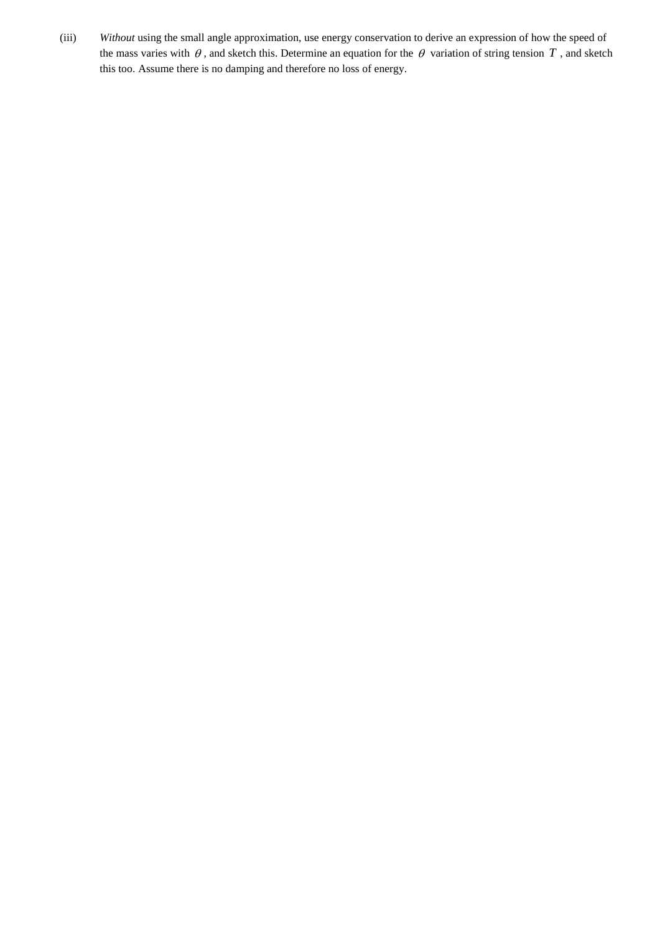(iii) *Without* using the small angle approximation, use energy conservation to derive an expression of how the speed of the mass varies with  $\theta$ , and sketch this. Determine an equation for the  $\theta$  variation of string tension  $T$ , and sketch this too. Assume there is no damping and therefore no loss of energy.